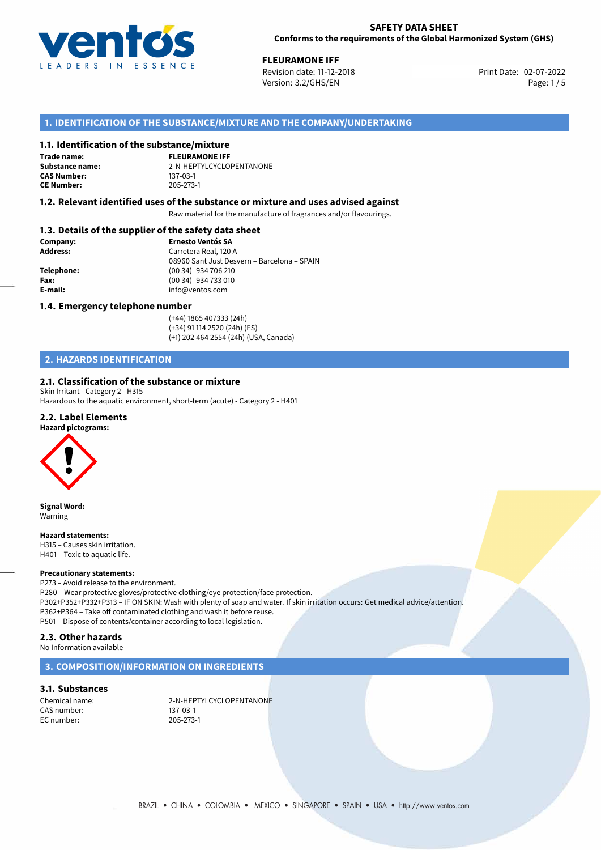

**FLEURAMONE IFF**<br>
Revision date: 11-12-2018 **Print Date: 02-07-2022** Version: 3.2/GHS/EN Page: 1/5

# **1. IDENTIFICATION OF THE SUBSTANCE/MIXTURE AND THE COMPANY/UNDERTAKING**

## **1.1. Identification of the substance/mixture**

**Trade name: CAS Number: CE Number:** 205-273-1

**FLEURAMONE IFF Substance name:** 2-N-HEPTYLCYCLOPENTANONE

## **1.2. Relevant identified uses of the substance or mixture and uses advised against**

Raw material for the manufacture of fragrances and/or flavourings.

# **1.3. Details of the supplier of the safety data sheet**

| Company:        | <b>Ernesto Ventós SA</b>                    |  |
|-----------------|---------------------------------------------|--|
| <b>Address:</b> | Carretera Real, 120 A                       |  |
|                 | 08960 Sant Just Desvern – Barcelona – SPAIN |  |
| Telephone:      | (00 34) 934 706 210                         |  |
| Fax:            | (00 34) 934 733 010                         |  |
| E-mail:         | info@ventos.com                             |  |
|                 |                                             |  |

## **1.4. Emergency telephone number**

(+44) 1865 407333 (24h) (+34) 91 114 2520 (24h) (ES) (+1) 202 464 2554 (24h) (USA, Canada)

# **2. HAZARDS IDENTIFICATION**

## **2.1. Classification of the substance or mixture**

Skin Irritant - Category 2 - H315 Hazardous to the aquatic environment, short-term (acute) - Category 2 - H401

## **2.2. Label Elements**

## **Hazard pictograms:**



**Signal Word:** Warning

## **Hazard statements:**

H315 – Causes skin irritation. H401 – Toxic to aquatic life.

### **Precautionary statements:**

P273 – Avoid release to the environment. P280 – Wear protective gloves/protective clothing/eye protection/face protection. P302+P352+P332+P313 – IF ON SKIN: Wash with plenty of soap and water. If skin irritation occurs: Get medical advice/attention. P362+P364 – Take off contaminated clothing and wash it before reuse. P501 – Dispose of contents/container according to local legislation.

# **2.3. Other hazards**

No Information available

## **3. COMPOSITION/INFORMATION ON INGREDIENTS**

## **3.1. Substances**

CAS number: EC number: 205-273-1

Chemical name: 2-N-HEPTYLCYCLOPENTANONE<br>CAS number: 2008 137-03-1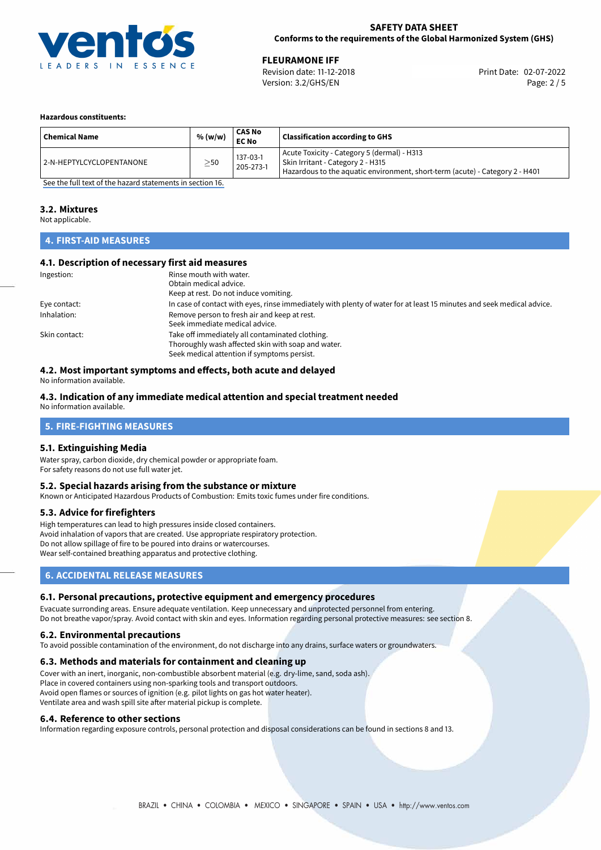

**FLEURAMONE IFF**<br>
Revision date: 11-12-2018 **Print Date: 02-07-2022** Version: 3.2/GHS/EN Page: 2 / 5

## **Hazardous constituents:**

| <b>Chemical Name</b>     | % (w/w)   | <b>CAS No</b><br><b>EC No</b> | <b>Classification according to GHS</b>                                                                                                                             |
|--------------------------|-----------|-------------------------------|--------------------------------------------------------------------------------------------------------------------------------------------------------------------|
| 2-N-HEPTYLCYCLOPENTANONE | $\geq$ 50 | 137-03-1<br>205-273-1         | Acute Toxicity - Category 5 (dermal) - H313<br>  Skin Irritant - Category 2 - H315<br>Hazardous to the aquatic environment, short-term (acute) - Category 2 - H401 |

[See the full text of the hazard statements in section 16.](#page-4-0)

## **3.2. Mixtures**

Not applicable.

# **4. FIRST-AID MEASURES**

## **4.1. Description of necessary first aid measures**

| Ingestion:    | Rinse mouth with water.                                                                                               |
|---------------|-----------------------------------------------------------------------------------------------------------------------|
|               | Obtain medical advice.                                                                                                |
|               | Keep at rest. Do not induce vomiting.                                                                                 |
| Eye contact:  | In case of contact with eyes, rinse immediately with plenty of water for at least 15 minutes and seek medical advice. |
| Inhalation:   | Remove person to fresh air and keep at rest.                                                                          |
|               | Seek immediate medical advice.                                                                                        |
| Skin contact: | Take off immediately all contaminated clothing.                                                                       |
|               | Thoroughly wash affected skin with soap and water.                                                                    |
|               | Seek medical attention if symptoms persist.                                                                           |

# **4.2. Most important symptoms and effects, both acute and delayed**

No information available.

## **4.3. Indication of any immediate medical attention and special treatment needed**

No information available.

# **5. FIRE-FIGHTING MEASURES**

## **5.1. Extinguishing Media**

Water spray, carbon dioxide, dry chemical powder or appropriate foam. For safety reasons do not use full water jet.

## **5.2. Special hazards arising from the substance or mixture**

Known or Anticipated Hazardous Products of Combustion: Emits toxic fumes under fire conditions.

## **5.3. Advice for firefighters**

High temperatures can lead to high pressures inside closed containers. Avoid inhalation of vapors that are created. Use appropriate respiratory protection. Do not allow spillage of fire to be poured into drains or watercourses. Wear self-contained breathing apparatus and protective clothing.

# **6. ACCIDENTAL RELEASE MEASURES**

## **6.1. Personal precautions, protective equipment and emergency procedures**

Evacuate surronding areas. Ensure adequate ventilation. Keep unnecessary and unprotected personnel from entering. Do not breathe vapor/spray. Avoid contact with skin and eyes. Information regarding personal protective measures: see section 8.

## **6.2. Environmental precautions**

To avoid possible contamination of the environment, do not discharge into any drains, surface waters or groundwaters.

## **6.3. Methods and materials for containment and cleaning up**

Cover with an inert, inorganic, non-combustible absorbent material (e.g. dry-lime, sand, soda ash). Place in covered containers using non-sparking tools and transport outdoors. Avoid open flames or sources of ignition (e.g. pilot lights on gas hot water heater). Ventilate area and wash spill site after material pickup is complete.

## **6.4. Reference to other sections**

Information regarding exposure controls, personal protection and disposal considerations can be found in sections 8 and 13.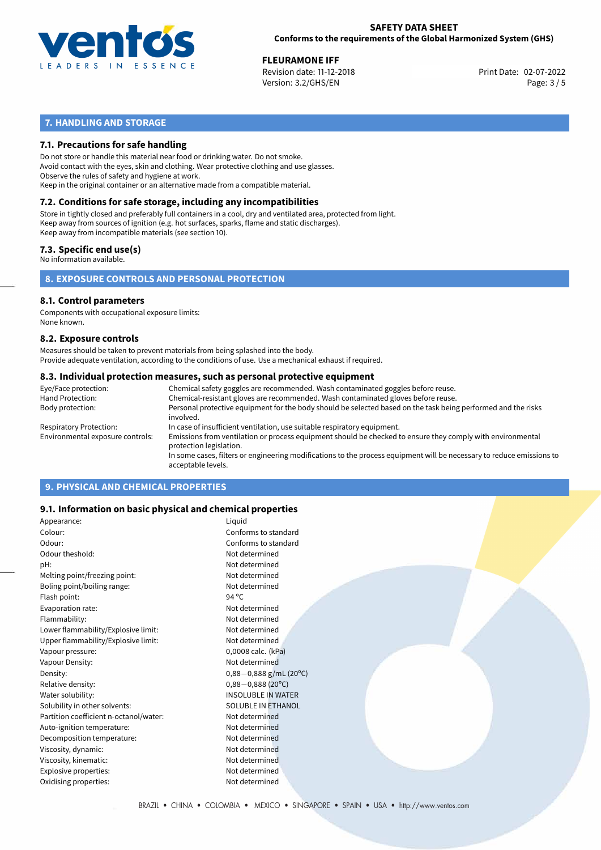

**FLEURAMONE IFF**<br>
Revision date: 11-12-2018 **Print Date: 02-07-2022** Version: 3.2/GHS/EN Page: 3 / 5

# **7. HANDLING AND STORAGE**

## **7.1. Precautions for safe handling**

Do not store or handle this material near food or drinking water. Do not smoke. Avoid contact with the eyes, skin and clothing. Wear protective clothing and use glasses. Observe the rules of safety and hygiene at work. Keep in the original container or an alternative made from a compatible material.

# **7.2. Conditions for safe storage, including any incompatibilities**

Store in tightly closed and preferably full containers in a cool, dry and ventilated area, protected from light. Keep away from sources of ignition (e.g. hot surfaces, sparks, flame and static discharges). Keep away from incompatible materials (see section 10).

## **7.3. Specific end use(s)**

No information available.

**8. EXPOSURE CONTROLS AND PERSONAL PROTECTION**

# **8.1. Control parameters**

Components with occupational exposure limits: None known.

## **8.2. Exposure controls**

Measures should be taken to prevent materials from being splashed into the body. Provide adequate ventilation, according to the conditions of use. Use a mechanical exhaust if required.

## **8.3. Individual protection measures, such as personal protective equipment**

| Eye/Face protection:             | Chemical safety goggles are recommended. Wash contaminated goggles before reuse.                                                            |  |  |  |
|----------------------------------|---------------------------------------------------------------------------------------------------------------------------------------------|--|--|--|
| Hand Protection:                 | Chemical-resistant gloves are recommended. Wash contaminated gloves before reuse.                                                           |  |  |  |
| Body protection:                 | Personal protective equipment for the body should be selected based on the task being performed and the risks<br>involved.                  |  |  |  |
| Respiratory Protection:          | In case of insufficient ventilation, use suitable respiratory equipment.                                                                    |  |  |  |
| Environmental exposure controls: | Emissions from ventilation or process equipment should be checked to ensure they comply with environmental<br>protection legislation.       |  |  |  |
|                                  | In some cases, filters or engineering modifications to the process equipment will be necessary to reduce emissions to<br>acceptable levels. |  |  |  |
|                                  |                                                                                                                                             |  |  |  |

# **9. PHYSICAL AND CHEMICAL PROPERTIES**

## **9.1. Information on basic physical and chemical properties**

| Appearance:                            | Liguid                                |
|----------------------------------------|---------------------------------------|
| Colour:                                | Conforms to standard                  |
| Odour:                                 | Conforms to standard                  |
| Odour theshold:                        | Not determined                        |
| pH:                                    | Not determined                        |
| Melting point/freezing point:          | Not determined                        |
| Boling point/boiling range:            | Not determined                        |
| Flash point:                           | 94 $^{\circ}$ C                       |
| Evaporation rate:                      | Not determined                        |
| Flammability:                          | Not determined                        |
| Lower flammability/Explosive limit:    | Not determined                        |
| Upper flammability/Explosive limit:    | Not determined                        |
| Vapour pressure:                       | 0,0008 calc. (kPa)                    |
| Vapour Density:                        | Not determined                        |
| Density:                               | $0,88-0,888$ g/mL (20 <sup>o</sup> C) |
| Relative density:                      | $0,88-0,888(20^{\circ}C)$             |
| Water solubility:                      | <b>INSOLUBLE IN WATER</b>             |
| Solubility in other solvents:          | <b>SOLUBLE IN ETHANOL</b>             |
| Partition coefficient n-octanol/water: | Not determined                        |
| Auto-ignition temperature:             | Not determined                        |
| Decomposition temperature:             | Not determined                        |
| Viscosity, dynamic:                    | Not determined                        |
| Viscosity, kinematic:                  | Not determined                        |
| Explosive properties:                  | Not determined                        |
| Oxidising properties:                  | Not determined                        |
|                                        |                                       |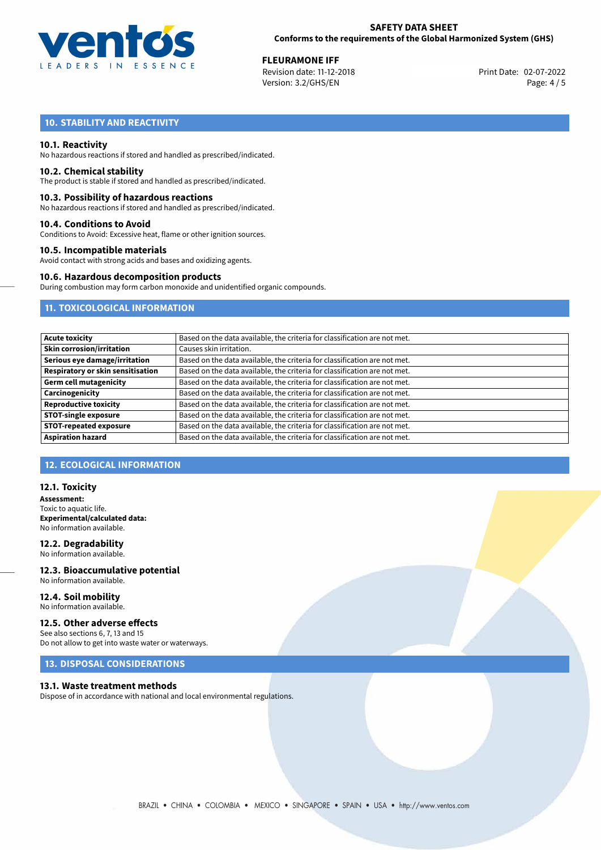

**FLEURAMONE IFF**<br>
Revision date: 11-12-2018 **Print Date: 02-07-2022** Version: 3.2/GHS/EN Page: 4 / 5

# **10. STABILITY AND REACTIVITY**

## **10.1. Reactivity**

No hazardous reactions if stored and handled as prescribed/indicated.

## **10.2. Chemical stability**

The product is stable if stored and handled as prescribed/indicated.

## **10.3. Possibility of hazardous reactions**

No hazardous reactions if stored and handled as prescribed/indicated.

## **10.4. Conditions to Avoid**

Conditions to Avoid: Excessive heat, flame or other ignition sources.

## **10.5. Incompatible materials**

Avoid contact with strong acids and bases and oxidizing agents.

## **10.6. Hazardous decomposition products**

During combustion may form carbon monoxide and unidentified organic compounds.

# **11. TOXICOLOGICAL INFORMATION**

| <b>Acute toxicity</b>                    | Based on the data available, the criteria for classification are not met. |
|------------------------------------------|---------------------------------------------------------------------------|
| <b>Skin corrosion/irritation</b>         | Causes skin irritation.                                                   |
| Serious eye damage/irritation            | Based on the data available, the criteria for classification are not met. |
| <b>Respiratory or skin sensitisation</b> | Based on the data available, the criteria for classification are not met. |
| <b>Germ cell mutagenicity</b>            | Based on the data available, the criteria for classification are not met. |
| Carcinogenicity                          | Based on the data available, the criteria for classification are not met. |
| <b>Reproductive toxicity</b>             | Based on the data available, the criteria for classification are not met. |
| <b>STOT-single exposure</b>              | Based on the data available, the criteria for classification are not met. |
| <b>STOT-repeated exposure</b>            | Based on the data available, the criteria for classification are not met. |
| <b>Aspiration hazard</b>                 | Based on the data available, the criteria for classification are not met. |

# **12. ECOLOGICAL INFORMATION**

## **12.1. Toxicity**

**Assessment:** Toxic to aquatic life. **Experimental/calculated data:** No information available.

**12.2. Degradability** No information available.

**12.3. Bioaccumulative potential** No information available.

### **12.4. Soil mobility** No information available.

## **12.5. Other adverse effects**

See also sections 6, 7, 13 and 15 Do not allow to get into waste water or waterways.

# **13. DISPOSAL CONSIDERATIONS**

## **13.1. Waste treatment methods**

Dispose of in accordance with national and local environmental regulations.